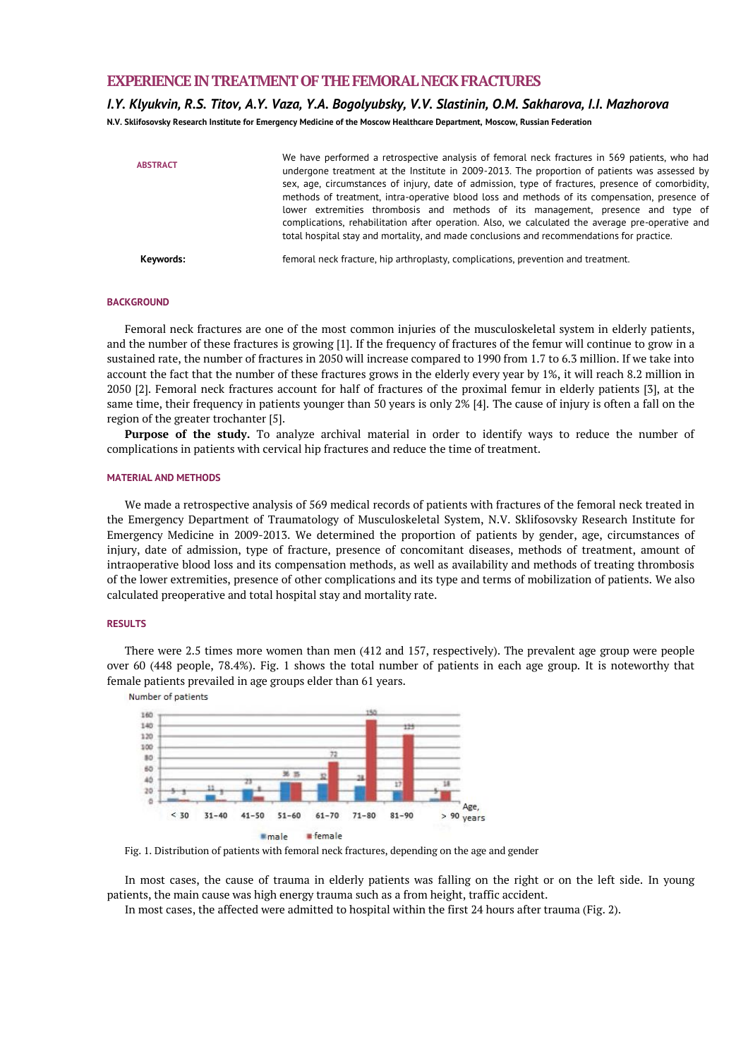## **EXPERIENCE IN TREATMENT OF THE FEMORAL NECK FRACTURES**

### *I.Y. Klyukvin, R.S. Titov, A.Y. Vaza, Y.A. Bogolyubsky, V.V. Slastinin, O.M. Sakharova, I.I. Mazhorova*

**N.V. Sklifosovsky Research Institute for Emergency Medicine of the Moscow Healthcare Department, Moscow, Russian Federation**

| <b>ABSTRACT</b> | We have performed a retrospective analysis of femoral neck fractures in 569 patients, who had<br>undergone treatment at the Institute in 2009-2013. The proportion of patients was assessed by<br>sex, age, circumstances of injury, date of admission, type of fractures, presence of comorbidity,<br>methods of treatment, intra-operative blood loss and methods of its compensation, presence of<br>lower extremities thrombosis and methods of its management, presence and type of<br>complications, rehabilitation after operation. Also, we calculated the average pre-operative and<br>total hospital stay and mortality, and made conclusions and recommendations for practice. |
|-----------------|-------------------------------------------------------------------------------------------------------------------------------------------------------------------------------------------------------------------------------------------------------------------------------------------------------------------------------------------------------------------------------------------------------------------------------------------------------------------------------------------------------------------------------------------------------------------------------------------------------------------------------------------------------------------------------------------|
| Keywords:       | femoral neck fracture, hip arthroplasty, complications, prevention and treatment.                                                                                                                                                                                                                                                                                                                                                                                                                                                                                                                                                                                                         |

#### **BACKGROUND**

Femoral neck fractures are one of the most common injuries of the musculoskeletal system in elderly patients, and the number of these fractures is growing [1]. If the frequency of fractures of the femur will continue to grow in a sustained rate, the number of fractures in 2050 will increase compared to 1990 from 1.7 to 6.3 million. If we take into account the fact that the number of these fractures grows in the elderly every year by 1%, it will reach 8.2 million in 2050 [2]. Femoral neck fractures account for half of fractures of the proximal femur in elderly patients [3], at the same time, their frequency in patients younger than 50 years is only 2% [4]. The cause of injury is often a fall on the region of the greater trochanter [5].

**Purpose of the study.** To analyze archival material in order to identify ways to reduce the number of complications in patients with cervical hip fractures and reduce the time of treatment.

#### **MATERIAL AND METHODS**

We made a retrospective analysis of 569 medical records of patients with fractures of the femoral neck treated in the Emergency Department of Traumatology of Musculoskeletal System, N.V. Sklifosovsky Research Institute for Emergency Medicine in 2009-2013. We determined the proportion of patients by gender, age, circumstances of injury, date of admission, type of fracture, presence of concomitant diseases, methods of treatment, amount of intraoperative blood loss and its compensation methods, as well as availability and methods of treating thrombosis of the lower extremities, presence of other complications and its type and terms of mobilization of patients. We also calculated preoperative and total hospital stay and mortality rate.

#### **RESULTS**

There were 2.5 times more women than men (412 and 157, respectively). The prevalent age group were people over 60 (448 people, 78.4%). Fig. 1 shows the total number of patients in each age group. It is noteworthy that female patients prevailed in age groups elder than 61 years.



Fig. 1. Distribution of patients with femoral neck fractures, depending on the age and gender

In most cases, the cause of trauma in elderly patients was falling on the right or on the left side. In young patients, the main cause was high energy trauma such as a from height, traffic accident.

In most cases, the affected were admitted to hospital within the first 24 hours after trauma (Fig. 2).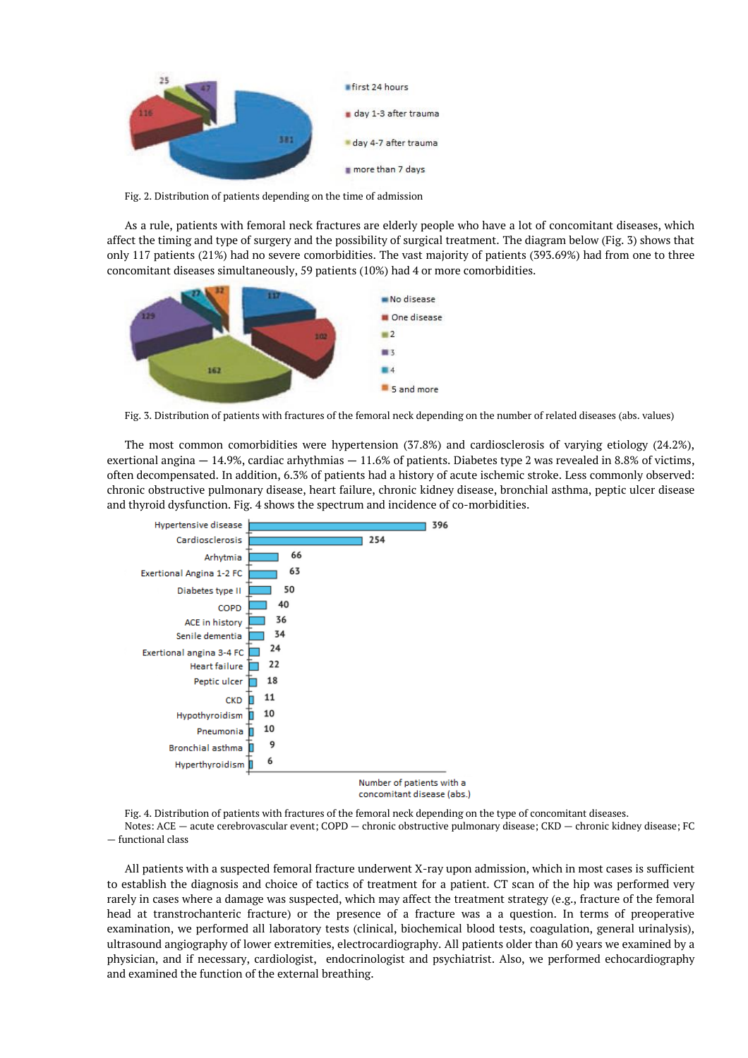

Fig. 2. Distribution of patients depending on the time of admission

As a rule, patients with femoral neck fractures are elderly people who have a lot of concomitant diseases, which affect the timing and type of surgery and the possibility of surgical treatment. The diagram below (Fig. 3) shows that only 117 patients (21%) had no severe comorbidities. The vast majority of patients (393.69%) had from one to three concomitant diseases simultaneously, 59 patients (10%) had 4 or more comorbidities.



Fig. 3. Distribution of patients with fractures of the femoral neck depending on the number of related diseases (abs. values)

The most common comorbidities were hypertension (37.8%) and cardiosclerosis of varying etiology (24.2%), exertional angina — 14.9%, cardiac arhythmias — 11.6% of patients. Diabetes type 2 was revealed in 8.8% of victims, often decompensated. In addition, 6.3% of patients had a history of acute ischemic stroke. Less commonly observed: chronic obstructive pulmonary disease, heart failure, chronic kidney disease, bronchial asthma, peptic ulcer disease and thyroid dysfunction. Fig. 4 shows the spectrum and incidence of co-morbidities.



concomitant disease (abs.)

Fig. 4. Distribution of patients with fractures of the femoral neck depending on the type of concomitant diseases. Notes: ACE — acute cerebrovascular event; COPD — chronic obstructive pulmonary disease; CKD — chronic kidney disease; FC — functional class

All patients with a suspected femoral fracture underwent X-ray upon admission, which in most cases is sufficient to establish the diagnosis and choice of tactics of treatment for a patient. CT scan of the hip was performed very rarely in cases where a damage was suspected, which may affect the treatment strategy (e.g., fracture of the femoral head at transtrochanteric fracture) or the presence of a fracture was a a question. In terms of preoperative examination, we performed all laboratory tests (clinical, biochemical blood tests, coagulation, general urinalysis), ultrasound angiography of lower extremities, electrocardiography. All patients older than 60 years we examined by a physician, and if necessary, cardiologist, endocrinologist and psychiatrist. Also, we performed echocardiography and examined the function of the external breathing.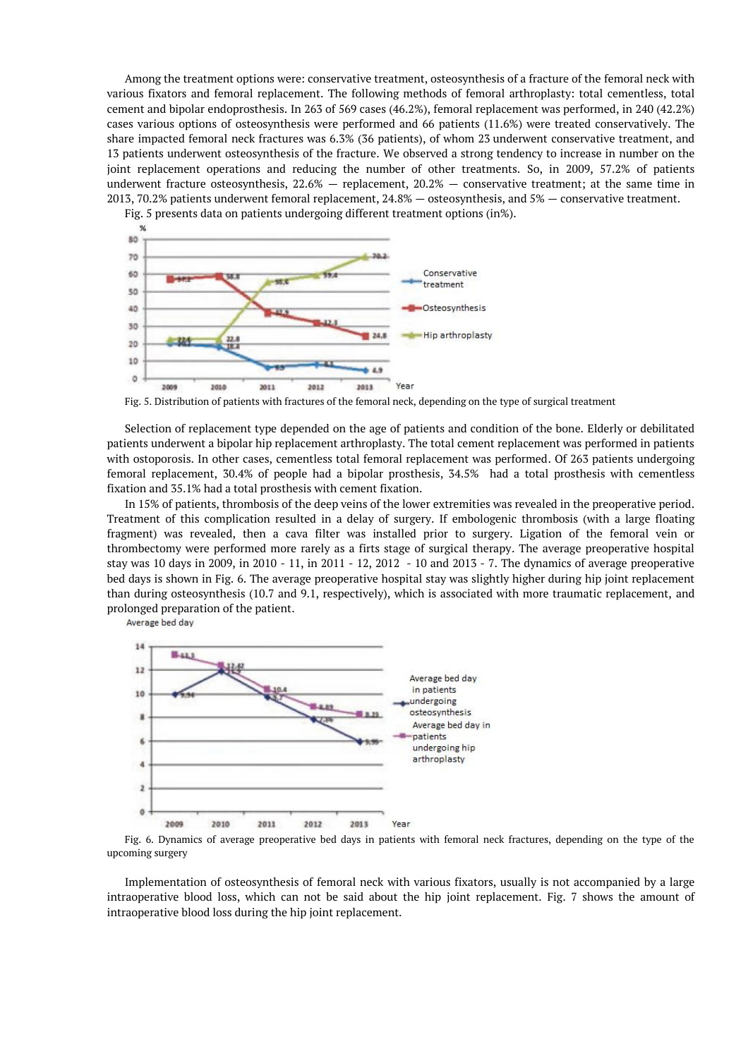Among the treatment options were: conservative treatment, osteosynthesis of a fracture of the femoral neck with various fixators and femoral replacement. The following methods of femoral arthroplasty: total cementless, total cement and bipolar endoprosthesis. In 263 of 569 cases (46.2%), femoral replacement was performed, in 240 (42.2%) cases various options of osteosynthesis were performed and 66 patients (11.6%) were treated conservatively. The share impacted femoral neck fractures was 6.3% (36 patients), of whom 23 underwent conservative treatment, and 13 patients underwent osteosynthesis of the fracture. We observed a strong tendency to increase in number on the joint replacement operations and reducing the number of other treatments. So, in 2009, 57.2% of patients underwent fracture osteosynthesis,  $22.6\%$  – replacement,  $20.2\%$  – conservative treatment; at the same time in 2013, 70.2% patients underwent femoral replacement, 24.8% — osteosynthesis, and 5% — conservative treatment.

Fig. 5 presents data on patients undergoing different treatment options (in%). %



Fig. 5. Distribution of patients with fractures of the femoral neck, depending on the type of surgical treatment

Selection of replacement type depended on the age of patients and condition of the bone. Elderly or debilitated patients underwent a bipolar hip replacement arthroplasty. The total cement replacement was performed in patients with ostoporosis. In other cases, cementless total femoral replacement was performed. Of 263 patients undergoing femoral replacement, 30.4% of people had a bipolar prosthesis, 34.5% had a total prosthesis with cementless fixation and 35.1% had a total prosthesis with cement fixation.

In 15% of patients, thrombosis of the deep veins of the lower extremities was revealed in the preoperative period. Treatment of this complication resulted in a delay of surgery. If embologenic thrombosis (with a large floating fragment) was revealed, then a cava filter was installed prior to surgery. Ligation of the femoral vein or thrombectomy were performed more rarely as a firts stage of surgical therapy. The average preoperative hospital stay was 10 days in 2009, in 2010 - 11, in 2011 - 12, 2012 - 10 and 2013 - 7. The dynamics of average preoperative bed days is shown in Fig. 6. The average preoperative hospital stay was slightly higher during hip joint replacement than during osteosynthesis (10.7 and 9.1, respectively), which is associated with more traumatic replacement, and prolonged preparation of the patient.

Average bed day



Fig. 6. Dynamics of average preoperative bed days in patients with femoral neck fractures, depending on the type of the upcoming surgery

Implementation of osteosynthesis of femoral neck with various fixators, usually is not accompanied by a large intraoperative blood loss, which can not be said about the hip joint replacement. Fig. 7 shows the amount of intraoperative blood loss during the hip joint replacement.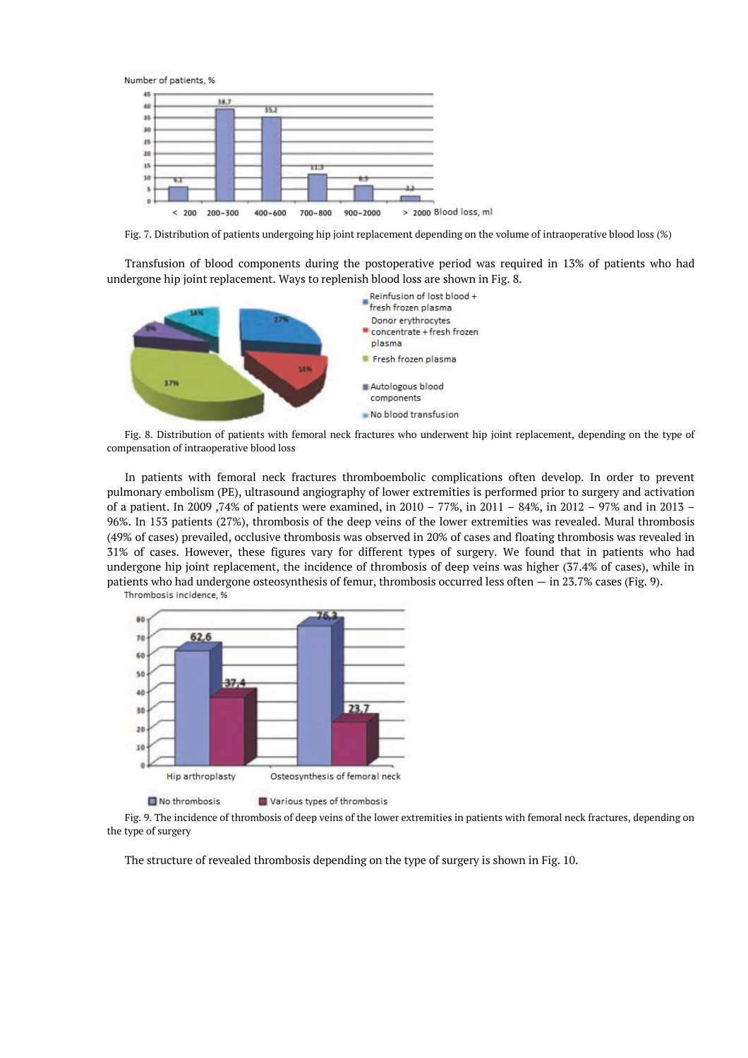

Fig. 7. Distribution of patients undergoing hip joint replacement depending on the volume of intraoperative blood loss (%)

Transfusion of blood components during the postoperative period was required in 13% of patients who had undergone hip joint replacement. Ways to replenish blood loss are shown in Fig. 8.



Fig. 8. Distribution of patients with femoral neck fractures who underwent hip joint replacement, depending on the type of compensation of intraoperative blood loss

In patients with femoral neck fractures thromboembolic complications often develop. In order to prevent pulmonary embolism (PE), ultrasound angiography of lower extremities is performed prior to surgery and activation of a patient. In 2009 ,74% of patients were examined, in 2010 – 77%, in 2011 – 84%, in 2012 – 97% and in 2013 – 96%. In 153 patients (27%), thrombosis of the deep veins of the lower extremities was revealed. Mural thrombosis (49% of cases) prevailed, occlusive thrombosis was observed in 20% of cases and floating thrombosis was revealed in 31% of cases. However, these figures vary for different types of surgery. We found that in patients who had undergone hip joint replacement, the incidence of thrombosis of deep veins was higher (37.4% of cases), while in patients who had undergone osteosynthesis of femur, thrombosis occurred less often — in 23.7% cases (Fig. 9). Thrombosis incidence, %



No thrombosis Various types of thrombosis

Fig. 9. The incidence of thrombosis of deep veins of the lower extremities in patients with femoral neck fractures, depending on the type of surgery

The structure of revealed thrombosis depending on the type of surgery is shown in Fig. 10.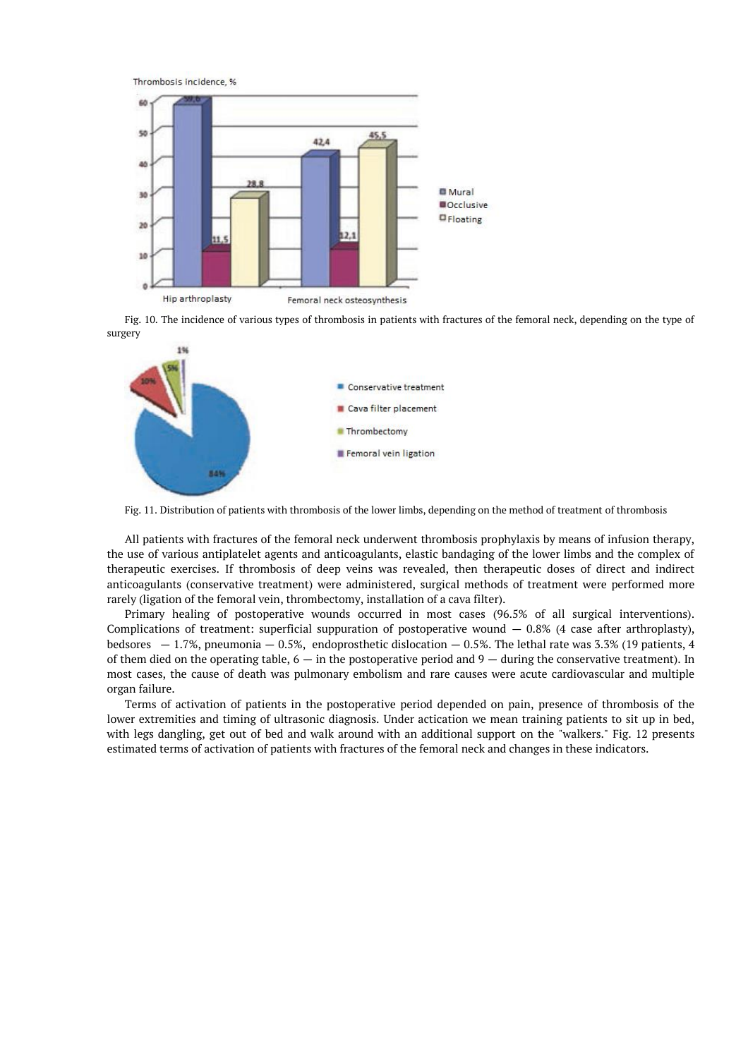

Fig. 10. The incidence of various types of thrombosis in patients with fractures of the femoral neck, depending on the type of surgery



Fig. 11. Distribution of patients with thrombosis of the lower limbs, depending on the method of treatment of thrombosis

All patients with fractures of the femoral neck underwent thrombosis prophylaxis by means of infusion therapy, the use of various antiplatelet agents and anticoagulants, elastic bandaging of the lower limbs and the complex of therapeutic exercises. If thrombosis of deep veins was revealed, then therapeutic doses of direct and indirect anticoagulants (conservative treatment) were administered, surgical methods of treatment were performed more rarely (ligation of the femoral vein, thrombectomy, installation of a cava filter).

Primary healing of postoperative wounds occurred in most cases (96.5% of all surgical interventions). Complications of treatment: superficial suppuration of postoperative wound  $-$  0.8% (4 case after arthroplasty), bedsores  $-1.7\%$ , pneumonia  $-0.5\%$ , endoprosthetic dislocation  $-0.5\%$ . The lethal rate was 3.3% (19 patients, 4 of them died on the operating table,  $6 - in$  the postoperative period and  $9 -$  during the conservative treatment). In most cases, the cause of death was pulmonary embolism and rare causes were acute cardiovascular and multiple organ failure.

Terms of activation of patients in the postoperative period depended on pain, presence of thrombosis of the lower extremities and timing of ultrasonic diagnosis. Under actication we mean training patients to sit up in bed, with legs dangling, get out of bed and walk around with an additional support on the "walkers." Fig. 12 presents estimated terms of activation of patients with fractures of the femoral neck and changes in these indicators.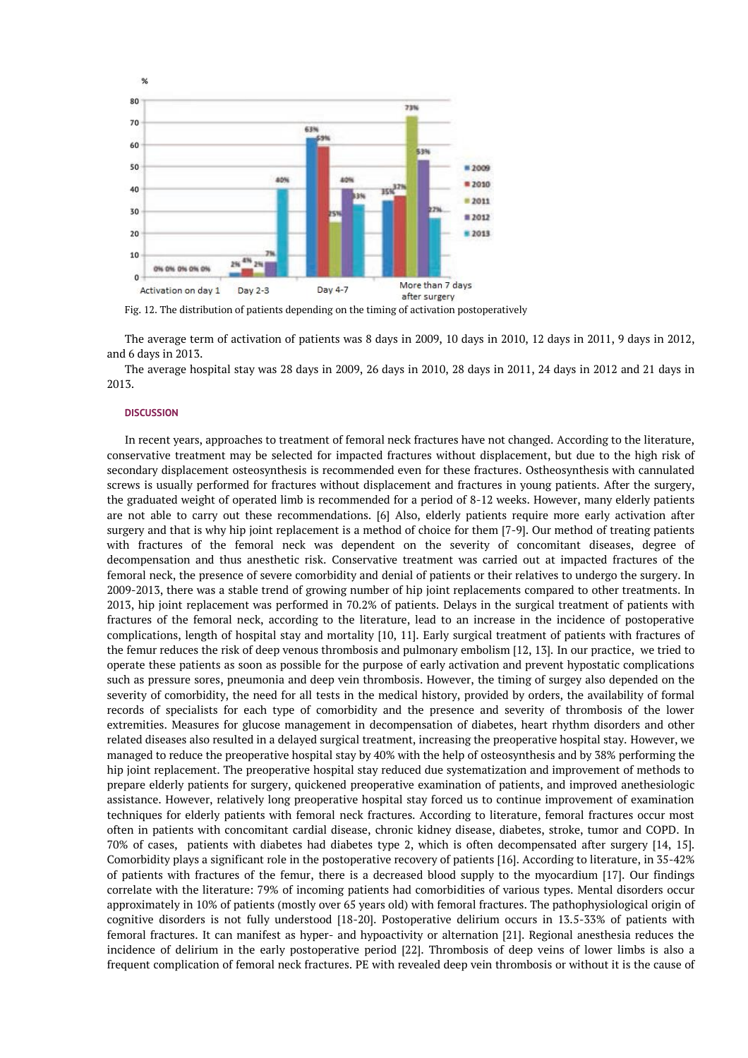

Fig. 12. The distribution of patients depending on the timing of activation postoperatively

The average term of activation of patients was 8 days in 2009, 10 days in 2010, 12 days in 2011, 9 days in 2012, and 6 days in 2013.

The average hospital stay was 28 days in 2009, 26 days in 2010, 28 days in 2011, 24 days in 2012 and 21 days in 2013.

#### **DISCUSSION**

In recent years, approaches to treatment of femoral neck fractures have not changed. According to the literature, conservative treatment may be selected for impacted fractures without displacement, but due to the high risk of secondary displacement osteosynthesis is recommended even for these fractures. Ostheosynthesis with cannulated screws is usually performed for fractures without displacement and fractures in young patients. After the surgery, the graduated weight of operated limb is recommended for a period of 8-12 weeks. However, many elderly patients are not able to carry out these recommendations. [6] Also, elderly patients require more early activation after surgery and that is why hip joint replacement is a method of choice for them [7-9]. Our method of treating patients with fractures of the femoral neck was dependent on the severity of concomitant diseases, degree of decompensation and thus anesthetic risk. Conservative treatment was carried out at impacted fractures of the femoral neck, the presence of severe comorbidity and denial of patients or their relatives to undergo the surgery. In 2009-2013, there was a stable trend of growing number of hip joint replacements compared to other treatments. In 2013, hip joint replacement was performed in 70.2% of patients. Delays in the surgical treatment of patients with fractures of the femoral neck, according to the literature, lead to an increase in the incidence of postoperative complications, length of hospital stay and mortality [10, 11]. Early surgical treatment of patients with fractures of the femur reduces the risk of deep venous thrombosis and pulmonary embolism [12, 13]. In our practice, we tried to operate these patients as soon as possible for the purpose of early activation and prevent hypostatic complications such as pressure sores, pneumonia and deep vein thrombosis. However, the timing of surgey also depended on the severity of comorbidity, the need for all tests in the medical history, provided by orders, the availability of formal records of specialists for each type of comorbidity and the presence and severity of thrombosis of the lower extremities. Measures for glucose management in decompensation of diabetes, heart rhythm disorders and other related diseases also resulted in a delayed surgical treatment, increasing the preoperative hospital stay. However, we managed to reduce the preoperative hospital stay by 40% with the help of osteosynthesis and by 38% performing the hip joint replacement. The preoperative hospital stay reduced due systematization and improvement of methods to prepare elderly patients for surgery, quickened preoperative examination of patients, and improved anethesiologic assistance. However, relatively long preoperative hospital stay forced us to continue improvement of examination techniques for elderly patients with femoral neck fractures. According to literature, femoral fractures occur most often in patients with concomitant cardial disease, chronic kidney disease, diabetes, stroke, tumor and COPD. In 70% of cases, patients with diabetes had diabetes type 2, which is often decompensated after surgery [14, 15]. Comorbidity plays a significant role in the postoperative recovery of patients [16]. According to literature, in 35-42% of patients with fractures of the femur, there is a decreased blood supply to the myocardium [17]. Our findings correlate with the literature: 79% of incoming patients had comorbidities of various types. Mental disorders occur approximately in 10% of patients (mostly over 65 years old) with femoral fractures. The pathophysiological origin of cognitive disorders is not fully understood [18-20]. Postoperative delirium occurs in 13.5-33% of patients with femoral fractures. It can manifest as hyper- and hypoactivity or alternation [21]. Regional anesthesia reduces the incidence of delirium in the early postoperative period [22]. Thrombosis of deep veins of lower limbs is also a frequent complication of femoral neck fractures. PE with revealed deep vein thrombosis or without it is the cause of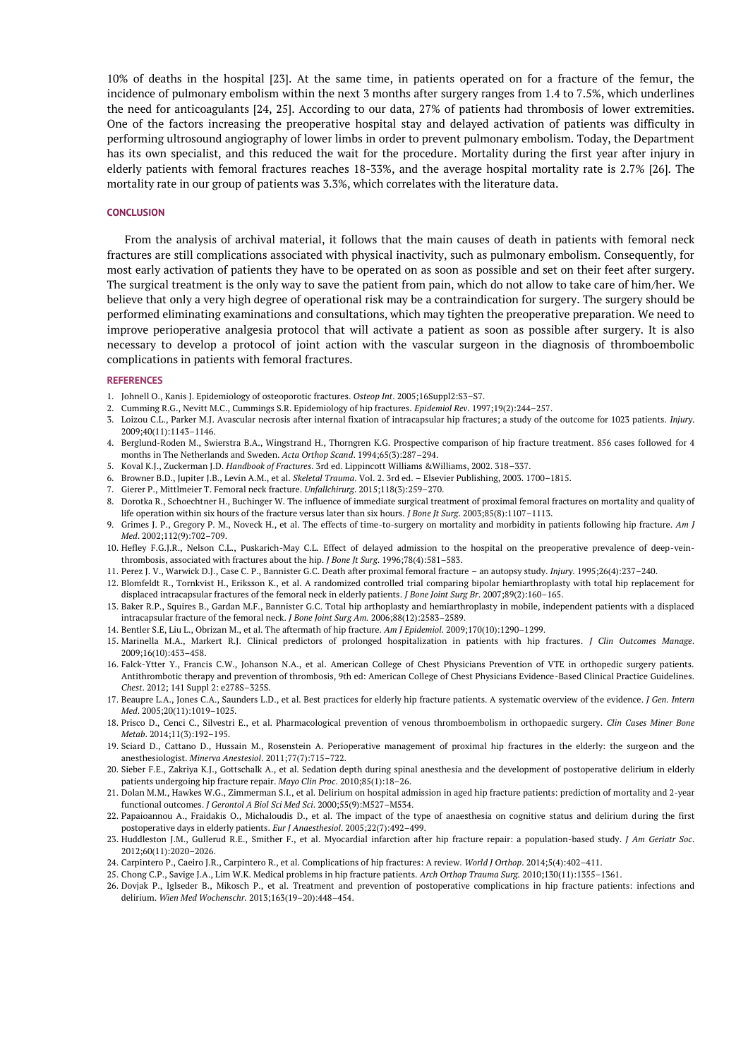10% of deaths in the hospital [23]. At the same time, in patients operated on for a fracture of the femur, the incidence of pulmonary embolism within the next 3 months after surgery ranges from 1.4 to 7.5%, which underlines the need for anticoagulants [24, 25]. According to our data, 27% of patients had thrombosis of lower extremities. One of the factors increasing the preoperative hospital stay and delayed activation of patients was difficulty in performing ultrosound angiography of lower limbs in order to prevent pulmonary embolism. Today, the Department has its own specialist, and this reduced the wait for the procedure. Mortality during the first year after injury in elderly patients with femoral fractures reaches 18-33%, and the average hospital mortality rate is 2.7% [26]. The mortality rate in our group of patients was 3.3%, which correlates with the literature data.

### **CONCLUSION**

From the analysis of archival material, it follows that the main causes of death in patients with femoral neck fractures are still complications associated with physical inactivity, such as pulmonary embolism. Consequently, for most early activation of patients they have to be operated on as soon as possible and set on their feet after surgery. The surgical treatment is the only way to save the patient from pain, which do not allow to take care of him/her. We believe that only a very high degree of operational risk may be a contraindication for surgery. The surgery should be performed eliminating examinations and consultations, which may tighten the preoperative preparation. We need to improve perioperative analgesia protocol that will activate a patient as soon as possible after surgery. It is also necessary to develop a protocol of joint action with the vascular surgeon in the diagnosis of thromboembolic complications in patients with femoral fractures.

#### **REFERENCES**

- 1. Johnell O., Kanis J. Epidemiology of osteoporotic fractures. *Osteop Int*. 2005;16Suppl2:S3–S7.
- 2. Cumming R.G., Nevitt M.C., Cummings S.R. Epidemiology of hip fractures. *Epidemiol Rev*. 1997;19(2):244–257.
- 3. Loizou C.L., Parker M.J. Avascular necrosis after internal fixation of intracapsular hip fractures; a study of the outcome for 1023 patients. *Injury*. 2009;40(11):1143–1146.
- 4. Berglund-Roden M., Swierstra B.A., Wingstrand H., Thorngren K.G. Prospective comparison of hip fracture treatment. 856 cases followed for 4 months in The Netherlands and Sweden. *Acta Orthop Scand*. 1994;65(3):287–294.
- 5. Koval K.J., Zuckerman J.D. *Handbook of Fractures*. 3rd ed. Lippincott Williams &Williams, 2002. 318–337.
- 6. Browner B.D., Jupiter J.B., Levin A.M., et al. *Skeletal Trauma*. Vol. 2. 3rd ed. Elsevier Publishing, 2003. 1700–1815.
- 7. Gierer P., Mittlmeier T. Femoral neck fracture. *Unfallchirurg*. 2015;118(3):259–270.
- 8. Dorotka R., Schoechtner H., Buchinger W. The influence of immediate surgical treatment of proximal femoral fractures on mortality and quality of life operation within six hours of the fracture versus later than six hours. *J Bone Jt Surg*. 2003;85(8):1107–1113.
- 9. Grimes J. P., Gregory P. M., Noveck H., et al. The effects of time-to-surgery on mortality and morbidity in patients following hip fracture. *Am J Med*. 2002;112(9):702–709.
- 10. Hefley F.G.J.R., Nelson C.L., Puskarich-May C.L. Effect of delayed admission to the hospital on the preoperative prevalence of deep-veinthrombosis, associated with fractures about the hip. *J Bone Jt Surg*. 1996;78(4):581–583.
- 11. Perez J. V., Warwick D.J., Case C. P., Bannister G.C. Death after proximal femoral fracture an autopsy study. *Injury*. 1995;26(4):237–240.
- 12. Blomfeldt R., Tornkvist H., Eriksson K., et al. A randomized controlled trial comparing bipolar hemiarthroplasty with total hip replacement for
- displaced intracapsular fractures of the femoral neck in elderly patients. *J Bone Joint Surg Br*. 2007;89(2):160–165. 13. Baker R.P., Squires B., Gardan M.F., Bannister G.C. Total hip arthoplasty and hemiarthroplasty in mobile, independent patients with a displaced
- intracapsular fracture of the femoral neck. *J Bone Joint Surg Am.* 2006;88(12):2583–2589.
- 14. Bentler S.E, Liu L., Obrizan M., et al. The aftermath of hip fracture. *Am J Epidemiol.* 2009;170(10):1290–1299.
- 15. Marinella M.A., Markert R.J. Clinical predictors of prolonged hospitalization in patients with hip fractures. *J Clin Outcomes Manage*. 2009;16(10):453–458.
- 16. Falck-Ytter Y., Francis C.W., Johanson N.A., et al. American College of Chest Physicians Prevention of VTE in orthopedic surgery patients. Antithrombotic therapy and prevention of thrombosis, 9th ed: American College of Chest Physicians Evidence-Based Clinical Practice Guidelines. *Chest*. 2012; 141 Suppl 2: e278S–325S.
- 17. Beaupre L.A., Jones C.A., Saunders L.D., et al. Best practices for elderly hip fracture patients. A systematic overview of the evidence. *J Gen. Intern Med*. 2005;20(11):1019–1025.
- 18. Prisco D., Cenci C., Silvestri E., et al. Pharmacological prevention of venous thromboembolism in orthopaedic surgery. *Clin Cases Miner Bone Metab*. 2014;11(3):192–195.
- 19. Sciard D., Cattano D., Hussain M., Rosenstein A. Perioperative management of proximal hip fractures in the elderly: the surgeon and the anesthesiologist. *Minerva Anestesiol*. 2011;77(7):715–722.
- 20. Sieber F.E., Zakriya K.J., Gottschalk A., et al. Sedation depth during spinal anesthesia and the development of postoperative delirium in elderly patients undergoing hip fracture repair. *Mayo Clin Proc*. 2010;85(1):18–26.
- 21. Dolan M.M., Hawkes W.G., Zimmerman S.I., et al. Delirium on hospital admission in aged hip fracture patients: prediction of mortality and 2-year functional outcomes. *J Gerontol A Biol Sci Med Sci*. 2000;55(9):M527–M534.
- 22. Papaioannou A., Fraidakis O., Michaloudis D., et al. The impact of the type of anaesthesia on cognitive status and delirium during the first postoperative days in elderly patients. *Eur J Anaesthesiol*. 2005;22(7):492–499.
- 23. Huddleston J.M., Gullerud R.E., Smither F., et al. Myocardial infarction after hip fracture repair: a population-based study. *J Am Geriatr Soc*. 2012;60(11):2020–2026.
- 24. Carpintero P., Caeiro J.R., Carpintero R., et al. Complications of hip fractures: A review. *World J Orthop*. 2014;5(4):402–411.
- 25. Chong C.P., Savige J.A., Lim W.K. Medical problems in hip fracture patients. *Arch Orthop Trauma Surg.* 2010;130(11):1355–1361.
- 26. Dovjak P., Iglseder B., Mikosch P., et al. Treatment and prevention of postoperative complications in hip fracture patients: infections and delirium. *Wien Med Wochenschr.* 2013;163(19–20):448–454.